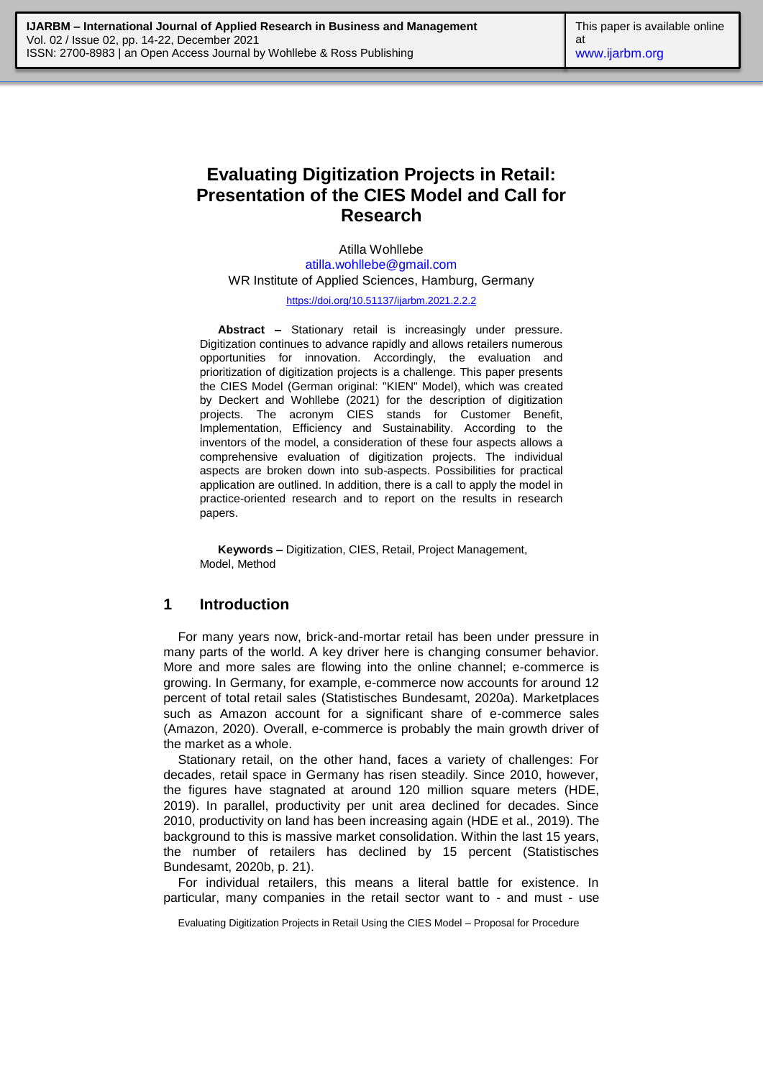# **Evaluating Digitization Projects in Retail: Presentation of the CIES Model and Call for Research**

Atilla Wohllebe [atilla.wohllebe@gmail.com](mailto:atilla.wohllebe@gmail.com) WR Institute of Applied Sciences, Hamburg, Germany

<https://doi.org/10.51137/ijarbm.2021.2.2.2>

**Abstract –** Stationary retail is increasingly under pressure. Digitization continues to advance rapidly and allows retailers numerous opportunities for innovation. Accordingly, the evaluation and prioritization of digitization projects is a challenge. This paper presents the CIES Model (German original: "KIEN" Model), which was created by Deckert and Wohllebe (2021) for the description of digitization projects. The acronym CIES stands for Customer Benefit, Implementation, Efficiency and Sustainability. According to the inventors of the model, a consideration of these four aspects allows a comprehensive evaluation of digitization projects. The individual aspects are broken down into sub-aspects. Possibilities for practical application are outlined. In addition, there is a call to apply the model in practice-oriented research and to report on the results in research papers.

**Keywords –** Digitization, CIES, Retail, Project Management, Model, Method

## **1 Introduction**

For many years now, brick-and-mortar retail has been under pressure in many parts of the world. A key driver here is changing consumer behavior. More and more sales are flowing into the online channel; e-commerce is growing. In Germany, for example, e-commerce now accounts for around 12 percent of total retail sales (Statistisches Bundesamt, 2020a). Marketplaces such as Amazon account for a significant share of e-commerce sales (Amazon, 2020). Overall, e-commerce is probably the main growth driver of the market as a whole.

Stationary retail, on the other hand, faces a variety of challenges: For decades, retail space in Germany has risen steadily. Since 2010, however, the figures have stagnated at around 120 million square meters (HDE, 2019). In parallel, productivity per unit area declined for decades. Since 2010, productivity on land has been increasing again (HDE et al., 2019). The background to this is massive market consolidation. Within the last 15 years, the number of retailers has declined by 15 percent (Statistisches Bundesamt, 2020b, p. 21).

For individual retailers, this means a literal battle for existence. In particular, many companies in the retail sector want to - and must - use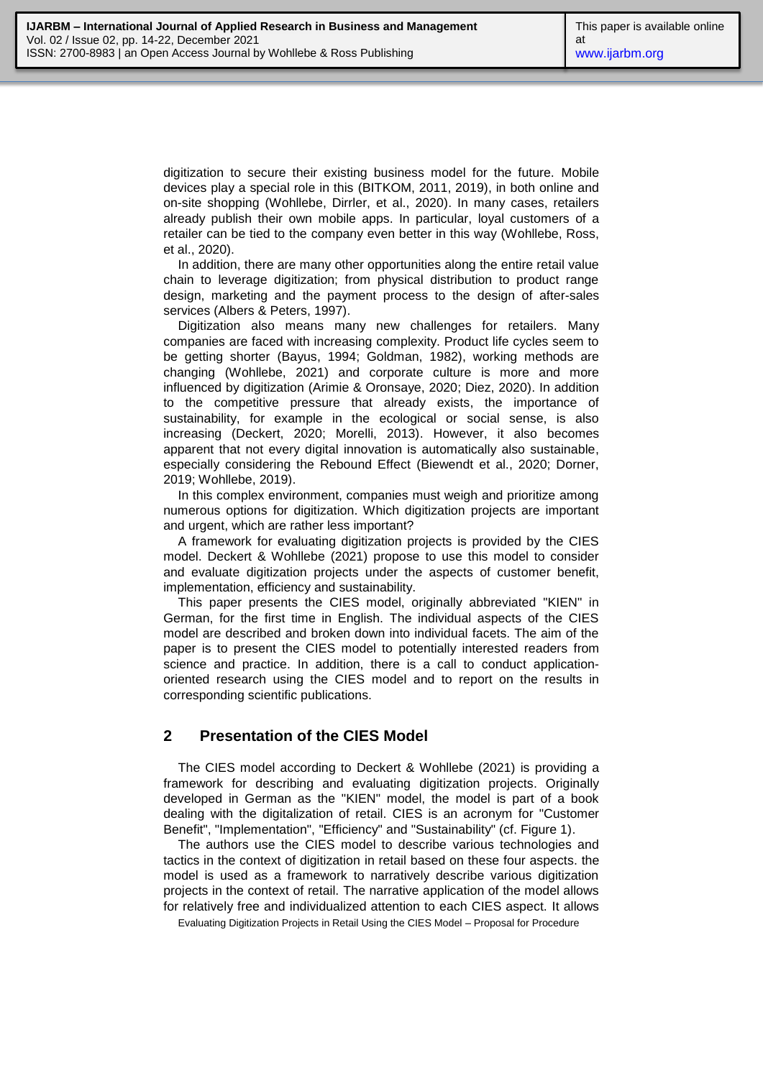digitization to secure their existing business model for the future. Mobile devices play a special role in this (BITKOM, 2011, 2019), in both online and on-site shopping (Wohllebe, Dirrler, et al., 2020). In many cases, retailers already publish their own mobile apps. In particular, loyal customers of a retailer can be tied to the company even better in this way (Wohllebe, Ross, et al., 2020).

In addition, there are many other opportunities along the entire retail value chain to leverage digitization; from physical distribution to product range design, marketing and the payment process to the design of after-sales services (Albers & Peters, 1997).

Digitization also means many new challenges for retailers. Many companies are faced with increasing complexity. Product life cycles seem to be getting shorter (Bayus, 1994; Goldman, 1982), working methods are changing (Wohllebe, 2021) and corporate culture is more and more influenced by digitization (Arimie & Oronsaye, 2020; Diez, 2020). In addition to the competitive pressure that already exists, the importance of sustainability, for example in the ecological or social sense, is also increasing (Deckert, 2020; Morelli, 2013). However, it also becomes apparent that not every digital innovation is automatically also sustainable, especially considering the Rebound Effect (Biewendt et al., 2020; Dorner, 2019; Wohllebe, 2019).

In this complex environment, companies must weigh and prioritize among numerous options for digitization. Which digitization projects are important and urgent, which are rather less important?

A framework for evaluating digitization projects is provided by the CIES model. Deckert & Wohllebe (2021) propose to use this model to consider and evaluate digitization projects under the aspects of customer benefit, implementation, efficiency and sustainability.

This paper presents the CIES model, originally abbreviated "KIEN" in German, for the first time in English. The individual aspects of the CIES model are described and broken down into individual facets. The aim of the paper is to present the CIES model to potentially interested readers from science and practice. In addition, there is a call to conduct applicationoriented research using the CIES model and to report on the results in corresponding scientific publications.

#### **2 Presentation of the CIES Model**

The CIES model according to Deckert & Wohllebe (2021) is providing a framework for describing and evaluating digitization projects. Originally developed in German as the "KIEN" model, the model is part of a book dealing with the digitalization of retail. CIES is an acronym for "Customer Benefit", "Implementation", "Efficiency" and "Sustainability" (cf. Figure 1).

The authors use the CIES model to describe various technologies and tactics in the context of digitization in retail based on these four aspects. the model is used as a framework to narratively describe various digitization projects in the context of retail. The narrative application of the model allows for relatively free and individualized attention to each CIES aspect. It allows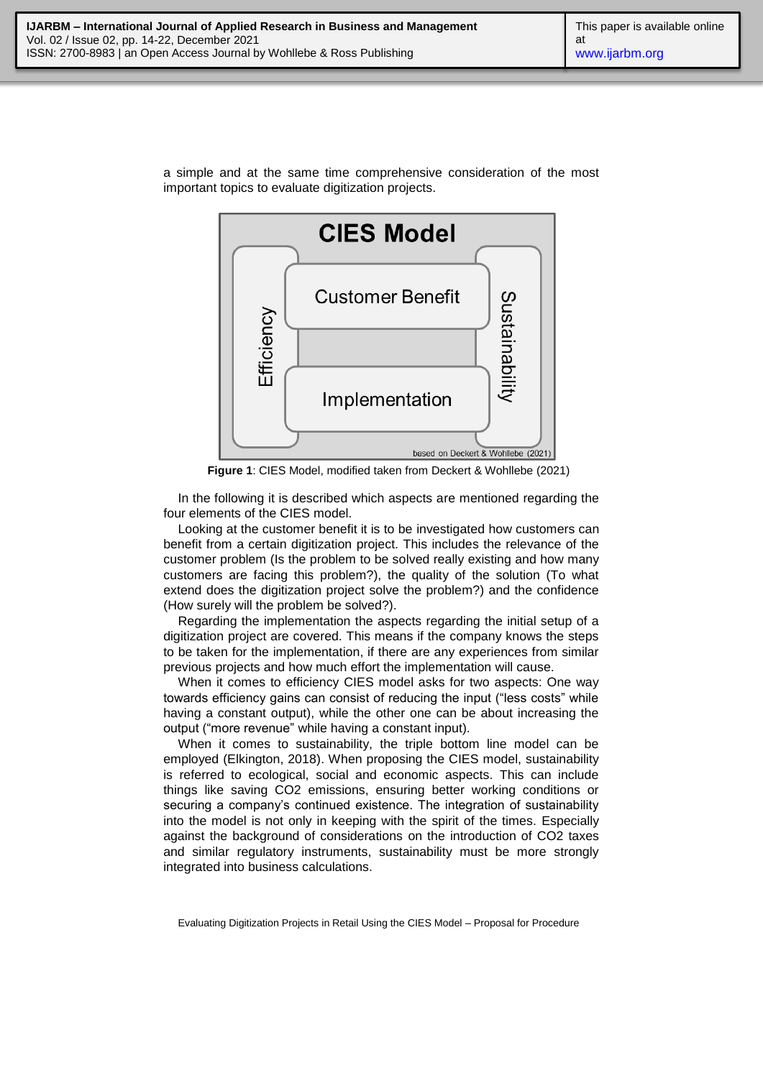

a simple and at the same time comprehensive consideration of the most important topics to evaluate digitization projects.

**Figure 1**: CIES Model, modified taken from Deckert & Wohllebe (2021)

In the following it is described which aspects are mentioned regarding the four elements of the CIES model.

Looking at the customer benefit it is to be investigated how customers can benefit from a certain digitization project. This includes the relevance of the customer problem (Is the problem to be solved really existing and how many customers are facing this problem?), the quality of the solution (To what extend does the digitization project solve the problem?) and the confidence (How surely will the problem be solved?).

Regarding the implementation the aspects regarding the initial setup of a digitization project are covered. This means if the company knows the steps to be taken for the implementation, if there are any experiences from similar previous projects and how much effort the implementation will cause.

When it comes to efficiency CIES model asks for two aspects: One way towards efficiency gains can consist of reducing the input ("less costs" while having a constant output), while the other one can be about increasing the output ("more revenue" while having a constant input).

When it comes to sustainability, the triple bottom line model can be employed (Elkington, 2018). When proposing the CIES model, sustainability is referred to ecological, social and economic aspects. This can include things like saving CO2 emissions, ensuring better working conditions or securing a company's continued existence. The integration of sustainability into the model is not only in keeping with the spirit of the times. Especially against the background of considerations on the introduction of CO2 taxes and similar regulatory instruments, sustainability must be more strongly integrated into business calculations.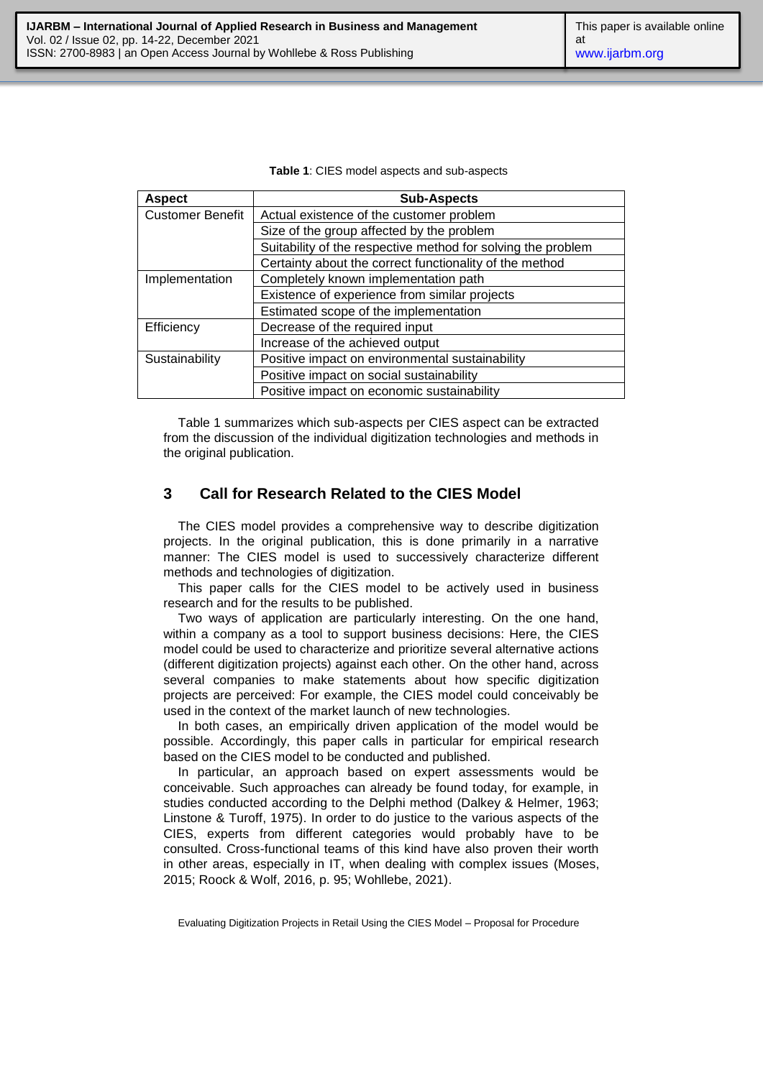**Table 1**: CIES model aspects and sub-aspects

| <b>Aspect</b>           | <b>Sub-Aspects</b>                                           |
|-------------------------|--------------------------------------------------------------|
| <b>Customer Benefit</b> | Actual existence of the customer problem                     |
|                         | Size of the group affected by the problem                    |
|                         | Suitability of the respective method for solving the problem |
|                         | Certainty about the correct functionality of the method      |
| Implementation          | Completely known implementation path                         |
|                         | Existence of experience from similar projects                |
|                         | Estimated scope of the implementation                        |
| Efficiency              | Decrease of the required input                               |
|                         | Increase of the achieved output                              |
| Sustainability          | Positive impact on environmental sustainability              |
|                         | Positive impact on social sustainability                     |
|                         | Positive impact on economic sustainability                   |

Table 1 summarizes which sub-aspects per CIES aspect can be extracted from the discussion of the individual digitization technologies and methods in the original publication.

## **3 Call for Research Related to the CIES Model**

The CIES model provides a comprehensive way to describe digitization projects. In the original publication, this is done primarily in a narrative manner: The CIES model is used to successively characterize different methods and technologies of digitization.

This paper calls for the CIES model to be actively used in business research and for the results to be published.

Two ways of application are particularly interesting. On the one hand, within a company as a tool to support business decisions: Here, the CIES model could be used to characterize and prioritize several alternative actions (different digitization projects) against each other. On the other hand, across several companies to make statements about how specific digitization projects are perceived: For example, the CIES model could conceivably be used in the context of the market launch of new technologies.

In both cases, an empirically driven application of the model would be possible. Accordingly, this paper calls in particular for empirical research based on the CIES model to be conducted and published.

In particular, an approach based on expert assessments would be conceivable. Such approaches can already be found today, for example, in studies conducted according to the Delphi method (Dalkey & Helmer, 1963; Linstone & Turoff, 1975). In order to do justice to the various aspects of the CIES, experts from different categories would probably have to be consulted. Cross-functional teams of this kind have also proven their worth in other areas, especially in IT, when dealing with complex issues (Moses, 2015; Roock & Wolf, 2016, p. 95; Wohllebe, 2021).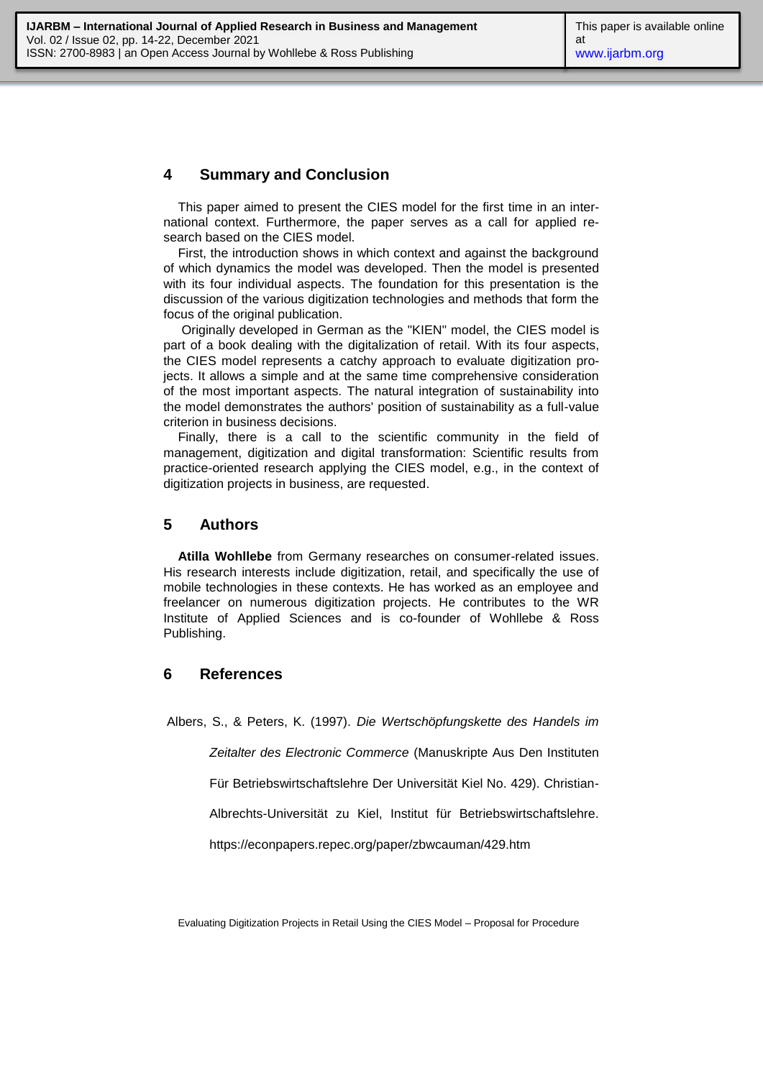## **4 Summary and Conclusion**

This paper aimed to present the CIES model for the first time in an international context. Furthermore, the paper serves as a call for applied research based on the CIES model.

First, the introduction shows in which context and against the background of which dynamics the model was developed. Then the model is presented with its four individual aspects. The foundation for this presentation is the discussion of the various digitization technologies and methods that form the focus of the original publication.

Originally developed in German as the "KIEN" model, the CIES model is part of a book dealing with the digitalization of retail. With its four aspects, the CIES model represents a catchy approach to evaluate digitization projects. It allows a simple and at the same time comprehensive consideration of the most important aspects. The natural integration of sustainability into the model demonstrates the authors' position of sustainability as a full-value criterion in business decisions.

Finally, there is a call to the scientific community in the field of management, digitization and digital transformation: Scientific results from practice-oriented research applying the CIES model, e.g., in the context of digitization projects in business, are requested.

### **5 Authors**

**Atilla Wohllebe** from Germany researches on consumer-related issues. His research interests include digitization, retail, and specifically the use of mobile technologies in these contexts. He has worked as an employee and freelancer on numerous digitization projects. He contributes to the WR Institute of Applied Sciences and is co-founder of Wohllebe & Ross Publishing.

#### **6 References**

Albers, S., & Peters, K. (1997). *Die Wertschöpfungskette des Handels im* 

*Zeitalter des Electronic Commerce* (Manuskripte Aus Den Instituten

Für Betriebswirtschaftslehre Der Universität Kiel No. 429). Christian-

Albrechts-Universität zu Kiel, Institut für Betriebswirtschaftslehre.

https://econpapers.repec.org/paper/zbwcauman/429.htm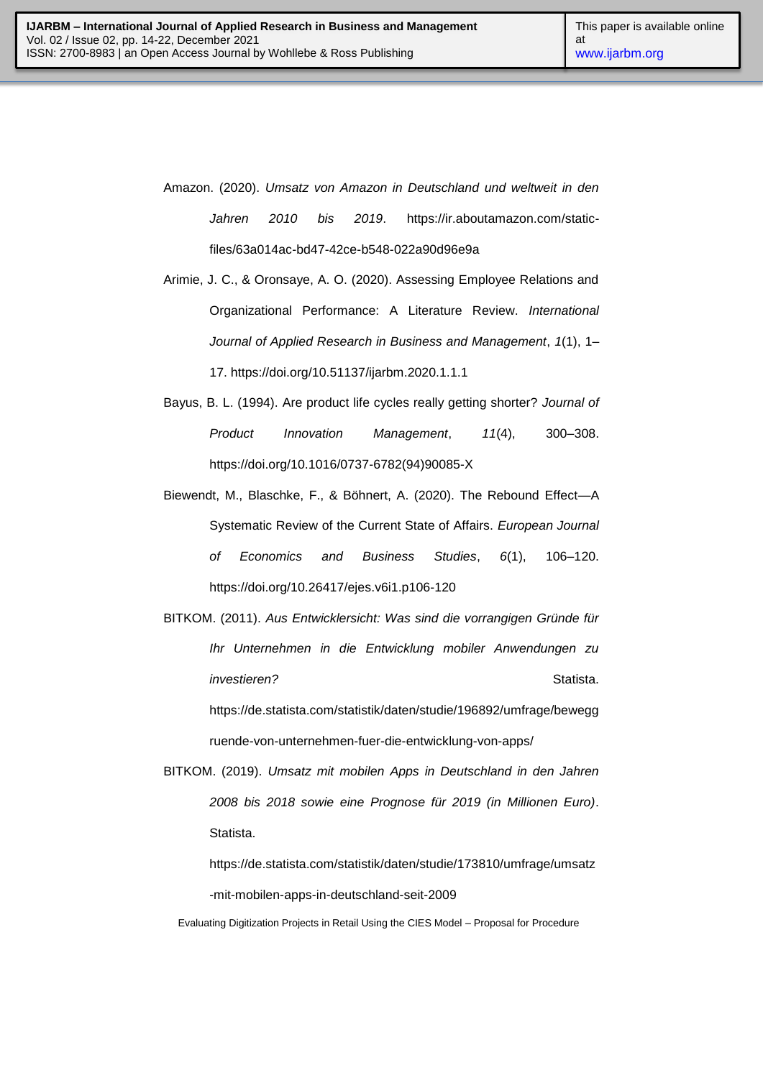- Amazon. (2020). *Umsatz von Amazon in Deutschland und weltweit in den Jahren 2010 bis 2019*. https://ir.aboutamazon.com/staticfiles/63a014ac-bd47-42ce-b548-022a90d96e9a
- Arimie, J. C., & Oronsaye, A. O. (2020). Assessing Employee Relations and Organizational Performance: A Literature Review. *International Journal of Applied Research in Business and Management*, *1*(1), 1– 17. https://doi.org/10.51137/ijarbm.2020.1.1.1
- Bayus, B. L. (1994). Are product life cycles really getting shorter? *Journal of Product Innovation Management*, *11*(4), 300–308. https://doi.org/10.1016/0737-6782(94)90085-X
- Biewendt, M., Blaschke, F., & Böhnert, A. (2020). The Rebound Effect—A Systematic Review of the Current State of Affairs. *European Journal of Economics and Business Studies*, *6*(1), 106–120. https://doi.org/10.26417/ejes.v6i1.p106-120
- BITKOM. (2011). *Aus Entwicklersicht: Was sind die vorrangigen Gründe für Ihr Unternehmen in die Entwicklung mobiler Anwendungen zu investieren?* Statista. https://de.statista.com/statistik/daten/studie/196892/umfrage/bewegg

BITKOM. (2019). *Umsatz mit mobilen Apps in Deutschland in den Jahren 2008 bis 2018 sowie eine Prognose für 2019 (in Millionen Euro)*. Statista.

ruende-von-unternehmen-fuer-die-entwicklung-von-apps/

https://de.statista.com/statistik/daten/studie/173810/umfrage/umsatz -mit-mobilen-apps-in-deutschland-seit-2009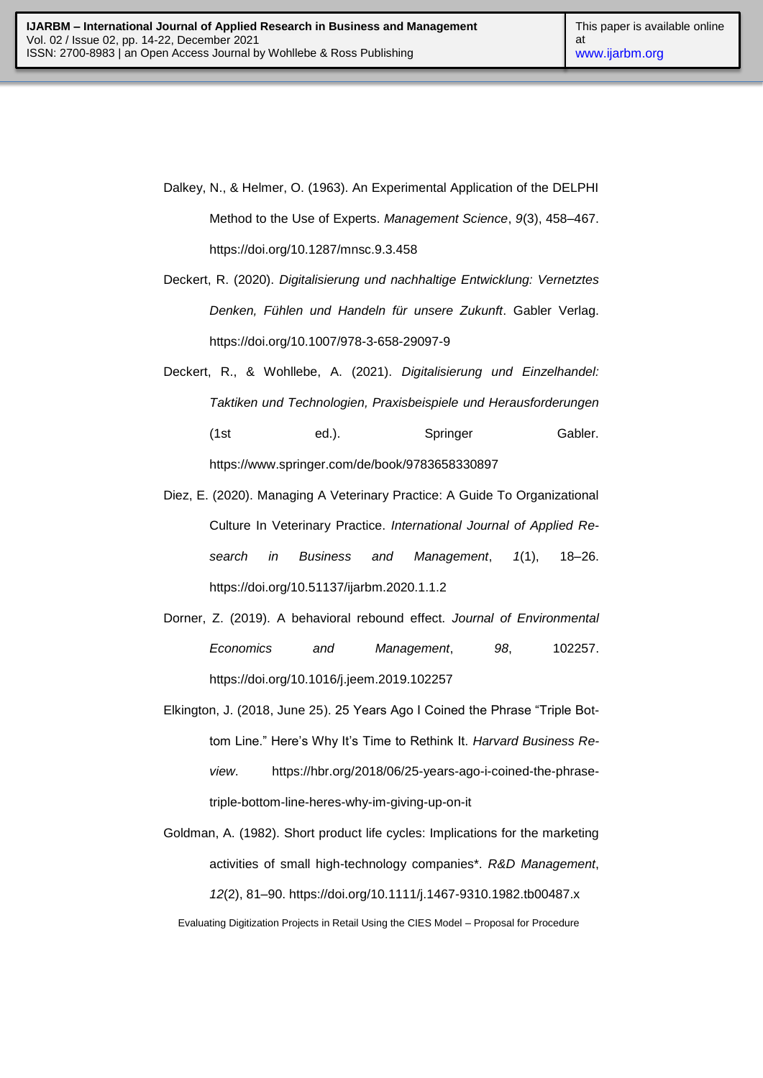- Dalkey, N., & Helmer, O. (1963). An Experimental Application of the DELPHI Method to the Use of Experts. *Management Science*, *9*(3), 458–467. https://doi.org/10.1287/mnsc.9.3.458
- Deckert, R. (2020). *Digitalisierung und nachhaltige Entwicklung: Vernetztes Denken, Fühlen und Handeln für unsere Zukunft*. Gabler Verlag. https://doi.org/10.1007/978-3-658-29097-9
- Deckert, R., & Wohllebe, A. (2021). *Digitalisierung und Einzelhandel: Taktiken und Technologien, Praxisbeispiele und Herausforderungen* (1st ed.). Springer Gabler. https://www.springer.com/de/book/9783658330897
- Diez, E. (2020). Managing A Veterinary Practice: A Guide To Organizational Culture In Veterinary Practice. *International Journal of Applied Research in Business and Management*, *1*(1), 18–26. https://doi.org/10.51137/ijarbm.2020.1.1.2
- Dorner, Z. (2019). A behavioral rebound effect. *Journal of Environmental Economics and Management*, *98*, 102257. https://doi.org/10.1016/j.jeem.2019.102257
- Elkington, J. (2018, June 25). 25 Years Ago I Coined the Phrase "Triple Bottom Line.‖ Here's Why It's Time to Rethink It. *Harvard Business Review*. https://hbr.org/2018/06/25-years-ago-i-coined-the-phrasetriple-bottom-line-heres-why-im-giving-up-on-it

Evaluating Digitization Projects in Retail Using the CIES Model – Proposal for Procedure Goldman, A. (1982). Short product life cycles: Implications for the marketing activities of small high-technology companies\*. *R&D Management*, *12*(2), 81–90. https://doi.org/10.1111/j.1467-9310.1982.tb00487.x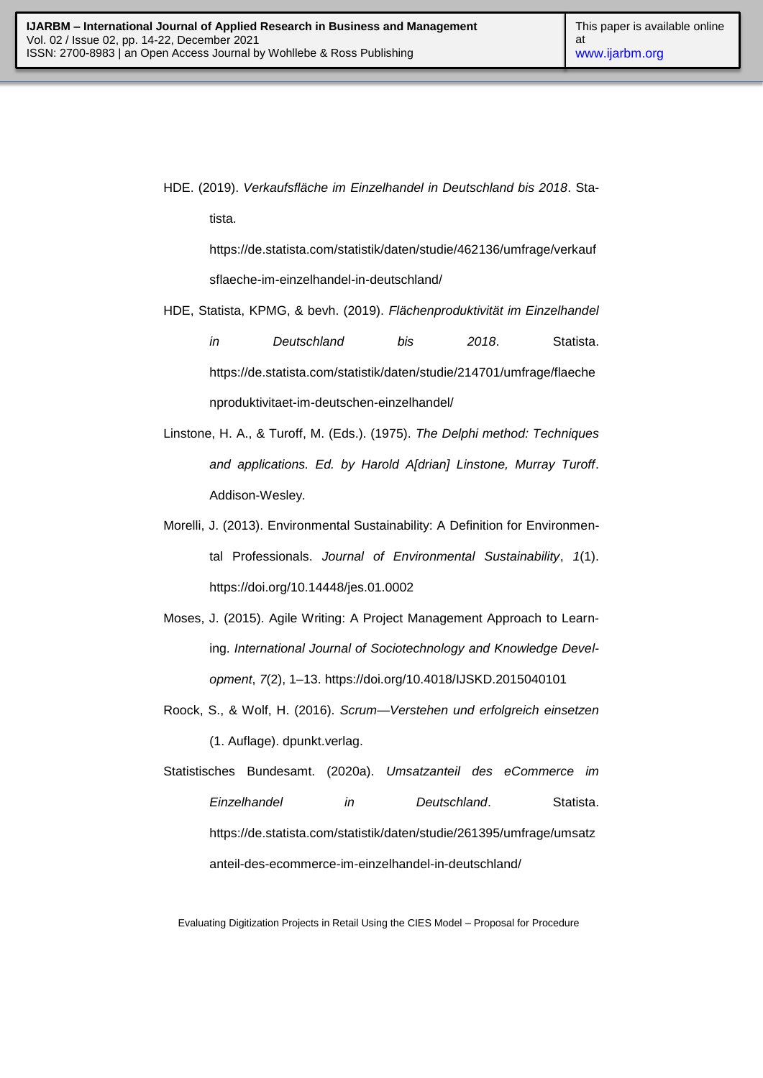HDE. (2019). *Verkaufsfläche im Einzelhandel in Deutschland bis 2018*. Statista.

https://de.statista.com/statistik/daten/studie/462136/umfrage/verkauf sflaeche-im-einzelhandel-in-deutschland/

HDE, Statista, KPMG, & bevh. (2019). *Flächenproduktivität im Einzelhandel in Deutschland bis 2018*. Statista. https://de.statista.com/statistik/daten/studie/214701/umfrage/flaeche nproduktivitaet-im-deutschen-einzelhandel/

- Linstone, H. A., & Turoff, M. (Eds.). (1975). *The Delphi method: Techniques and applications. Ed. by Harold A[drian] Linstone, Murray Turoff*. Addison-Wesley.
- Morelli, J. (2013). Environmental Sustainability: A Definition for Environmental Professionals. *Journal of Environmental Sustainability*, *1*(1). https://doi.org/10.14448/jes.01.0002
- Moses, J. (2015). Agile Writing: A Project Management Approach to Learning. *International Journal of Sociotechnology and Knowledge Development*, *7*(2), 1–13. https://doi.org/10.4018/IJSKD.2015040101
- Roock, S., & Wolf, H. (2016). *Scrum—Verstehen und erfolgreich einsetzen* (1. Auflage). dpunkt.verlag.
- Statistisches Bundesamt. (2020a). *Umsatzanteil des eCommerce im Einzelhandel in Deutschland*. Statista. https://de.statista.com/statistik/daten/studie/261395/umfrage/umsatz anteil-des-ecommerce-im-einzelhandel-in-deutschland/